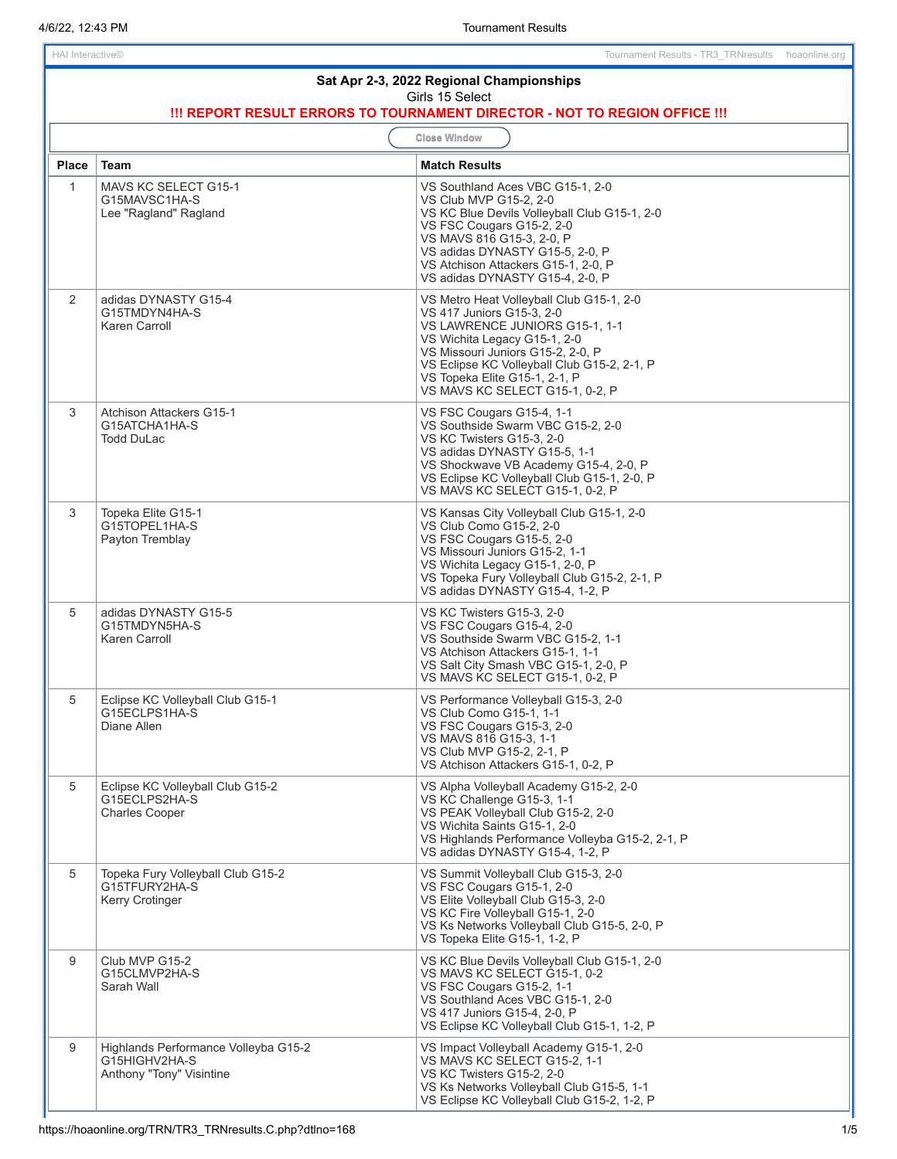## **Sat Apr 2-3, 2022 Regional Championships** Girls 15 Select **!!! REPORT RESULT ERRORS TO TOURNAMENT DIRECTOR - NOT TO REGION OFFICE !!! Close Window Place Team Match Results** 1 | MAVS KC SELECT G15-1 G15MAVSC1HA-S Lee "Ragland" Ragland VS Southland Aces VBC G15-1, 2-0 VS Club MVP G15-2, 2-0 VS KC Blue Devils Volleyball Club G15-1, 2-0 VS FSC Cougars G15-2, 2-0 VS MAVS 816 G15-3, 2-0, P VS adidas DYNASTY G15-5, 2-0, P VS Atchison Attackers G15-1, 2-0, P VS adidas DYNASTY G15-4, 2-0, P 2 adidas DYNASTY G15-4 G15TMDYN4HA-S Karen Carroll VS Metro Heat Volleyball Club G15-1, 2-0 VS 417 Juniors G15-3, 2-0 VS LAWRENCE JUNIORS G15-1, 1-1 VS Wichita Legacy G15-1, 2-0 VS Missouri Juniors G15-2, 2-0, P VS Eclipse KC Volleyball Club G15-2, 2-1, P VS Topeka Elite G15-1, 2-1, P VS MAVS KC SELECT G15-1, 0-2, P 3 Atchison Attackers G15-1 G15ATCHA1HA-S Todd DuLac VS FSC Cougars G15-4, 1-1 VS Southside Swarm VBC G15-2, 2-0 VS KC Twisters G15-3, 2-0 VS adidas DYNASTY G15-5, 1-1 VS Shockwave VB Academy G15-4, 2-0, P VS Eclipse KC Volleyball Club G15-1, 2-0, P VS MAVS KC SELECT G15-1, 0-2, P 3 Topeka Elite G15-1 G15TOPEL1HA-S Payton Tremblay VS Kansas City Volleyball Club G15-1, 2-0 VS Club Como G15-2, 2-0 VS FSC Cougars G15-5, 2-0 VS Missouri Juniors G15-2, 1-1 VS Wichita Legacy G15-1, 2-0, P VS Topeka Fury Volleyball Club G15-2, 2-1, P VS adidas DYNASTY G15-4, 1-2, P 5 adidas DYNASTY G15-5 G15TMDYN5HA-S Karen Carroll VS KC Twisters G15-3, 2-0 VS FSC Cougars G15-4, 2-0 VS Southside Swarm VBC G15-2, 1-1 VS Atchison Attackers G15-1, 1-1 VS Salt City Smash VBC G15-1, 2-0, P VS MAVS KC SELECT G15-1, 0-2, P 5 Eclipse KC Volleyball Club G15-1 G15ECLPS1HA-S Diane Allen VS Performance Volleyball G15-3, 2-0 VS Club Como G15-1, 1-1 VS FSC Cougars G15-3, 2-0 VS MAVS 816 G15-3, 1-1 VS Club MVP G15-2, 2-1, P VS Atchison Attackers G15-1, 0-2, P 5 Eclipse KC Volleyball Club G15-2 G15ECLPS2HA-S Charles Cooper VS Alpha Volleyball Academy G15-2, 2-0 VS KC Challenge G15-3, 1-1 VS PEAK Volleyball Club G15-2, 2-0 VS Wichita Saints G15-1, 2-0 VS Highlands Performance Volleyba G15-2, 2-1, P VS adidas DYNASTY G15-4, 1-2, P 5 | Topeka Fury Volleyball Club G15-2 G15TFURY2HA-S Kerry Crotinger VS Summit Volleyball Club G15-3, 2-0 VS FSC Cougars G15-1, 2-0 VS Elite Volleyball Club G15-3, 2-0 VS KC Fire Volleyball G15-1, 2-0 VS Ks Networks Volleyball Club G15-5, 2-0, P VS Topeka Elite G15-1, 1-2, P 9 | Club MVP G15-2 G15CLMVP2HA-S Sarah Wall VS KC Blue Devils Volleyball Club G15-1, 2-0 VS MAVS KC SELECT G15-1, 0-2 VS FSC Cougars G15-2, 1-1 VS Southland Aces VBC G15-1, 2-0 VS 417 Juniors G15-4, 2-0, P VS Eclipse KC Volleyball Club G15-1, 1-2, P 9 | Highlands Performance Volleyba G15-2 G15HIGHV2HA-S Anthony "Tony" Visintine VS Impact Volleyball Academy G15-1, 2-0 VS MAVS KC SELECT G15-2, 1-1 VS KC Twisters G15-2, 2-0 VS Ks Networks Volleyball Club G15-5, 1-1 VS Eclipse KC Volleyball Club G15-2, 1-2, P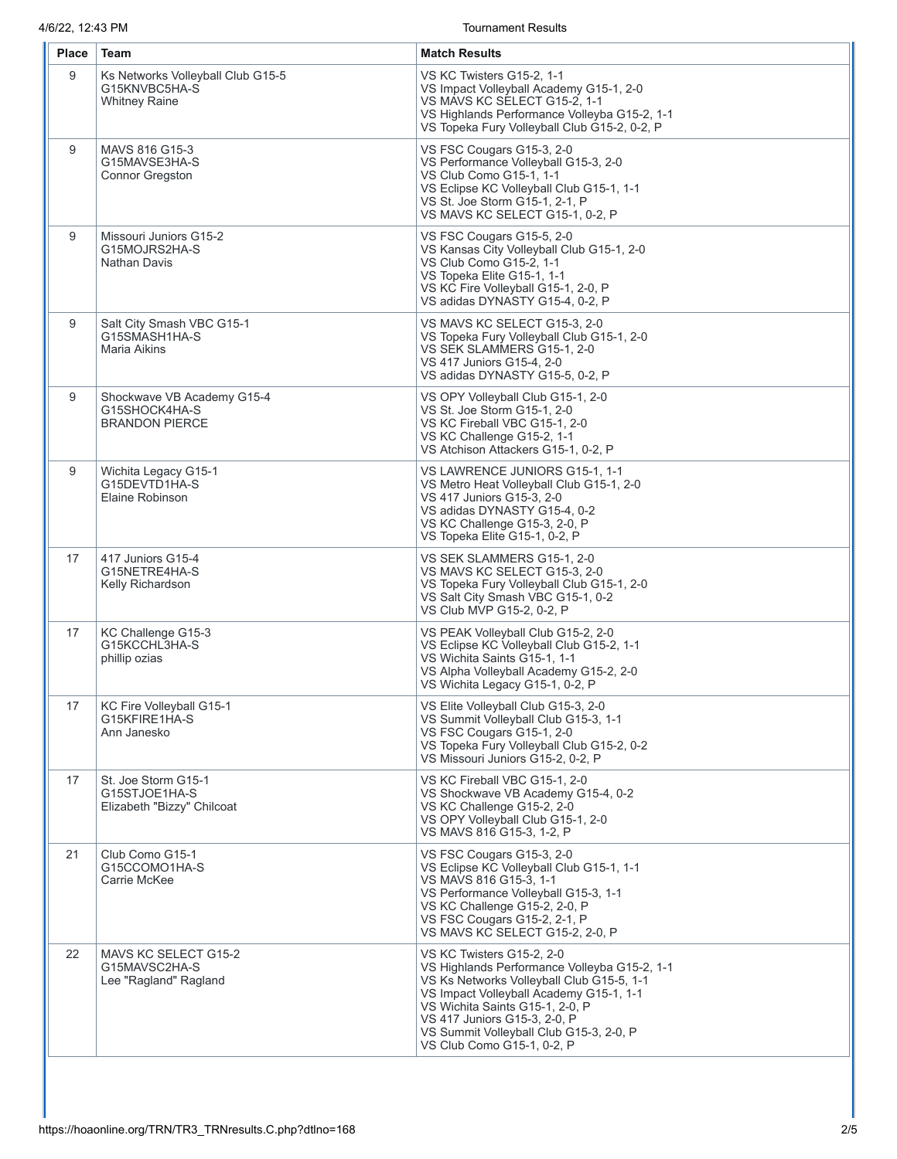4/6/22, 12:43 PM Tournament Results

| <b>Place</b> | Team                                                                       | <b>Match Results</b>                                                                                                                                                                                                                                                                                          |
|--------------|----------------------------------------------------------------------------|---------------------------------------------------------------------------------------------------------------------------------------------------------------------------------------------------------------------------------------------------------------------------------------------------------------|
| 9            | Ks Networks Volleyball Club G15-5<br>G15KNVBC5HA-S<br><b>Whitney Raine</b> | VS KC Twisters G15-2, 1-1<br>VS Impact Volleyball Academy G15-1, 2-0<br>VS MAVS KC SELECT G15-2, 1-1<br>VS Highlands Performance Volleyba G15-2, 1-1<br>VS Topeka Fury Volleyball Club G15-2, 0-2, P                                                                                                          |
| 9            | MAVS 816 G15-3<br>G15MAVSE3HA-S<br><b>Connor Gregston</b>                  | VS FSC Cougars G15-3, 2-0<br>VS Performance Volleyball G15-3, 2-0<br>VS Club Como G15-1, 1-1<br>VS Eclipse KC Volleyball Club G15-1, 1-1<br>VS St. Joe Storm G15-1, 2-1, P<br>VS MAVS KC SELECT G15-1, 0-2, P                                                                                                 |
| 9            | Missouri Juniors G15-2<br>G15MOJRS2HA-S<br><b>Nathan Davis</b>             | VS FSC Cougars G15-5, 2-0<br>VS Kansas City Volleyball Club G15-1, 2-0<br>VS Club Como G15-2, 1-1<br>VS Topeka Elite G15-1, 1-1<br>VS KC Fire Volleyball G15-1, 2-0, P<br>VS adidas DYNASTY G15-4, 0-2, P                                                                                                     |
| 9            | Salt City Smash VBC G15-1<br>G15SMASH1HA-S<br>Maria Aikins                 | VS MAVS KC SELECT G15-3, 2-0<br>VS Topeka Fury Volleyball Club G15-1, 2-0<br>VS SEK SLAMMERS G15-1, 2-0<br>VS 417 Juniors G15-4, 2-0<br>VS adidas DYNASTY G15-5, 0-2, P                                                                                                                                       |
| 9            | Shockwave VB Academy G15-4<br>G15SHOCK4HA-S<br><b>BRANDON PIERCE</b>       | VS OPY Volleyball Club G15-1, 2-0<br>VS St. Joe Storm G15-1, 2-0<br>VS KC Fireball VBC G15-1, 2-0<br>VS KC Challenge G15-2, 1-1<br>VS Atchison Attackers G15-1, 0-2, P                                                                                                                                        |
| 9            | Wichita Legacy G15-1<br>G15DEVTD1HA-S<br>Elaine Robinson                   | VS LAWRENCE JUNIORS G15-1, 1-1<br>VS Metro Heat Volleyball Club G15-1, 2-0<br>VS 417 Juniors G15-3, 2-0<br>VS adidas DYNASTY G15-4, 0-2<br>VS KC Challenge G15-3, 2-0, P<br>VS Topeka Elite G15-1, 0-2, P                                                                                                     |
| 17           | 417 Juniors G15-4<br>G15NETRE4HA-S<br>Kelly Richardson                     | VS SEK SLAMMERS G15-1, 2-0<br>VS MAVS KC SELECT G15-3, 2-0<br>VS Topeka Fury Volleyball Club G15-1, 2-0<br>VS Salt City Smash VBC G15-1, 0-2<br>VS Club MVP G15-2, 0-2, P                                                                                                                                     |
| 17           | KC Challenge G15-3<br>G15KCCHL3HA-S<br>phillip ozias                       | VS PEAK Volleyball Club G15-2, 2-0<br>VS Eclipse KC Volleyball Club G15-2, 1-1<br>VS Wichita Saints G15-1, 1-1<br>VS Alpha Volleyball Academy G15-2, 2-0<br>VS Wichita Legacy G15-1, 0-2, P                                                                                                                   |
| 17           | KC Fire Volleyball G15-1<br>G15KFIRE1HA-S<br>Ann Janesko                   | VS Elite Volleyball Club G15-3, 2-0<br>VS Summit Volleyball Club G15-3, 1-1<br>VS FSC Cougars G15-1, 2-0<br>VS Topeka Fury Volleyball Club G15-2, 0-2<br>VS Missouri Juniors G15-2, 0-2, P                                                                                                                    |
| 17           | St. Joe Storm G15-1<br>G15STJOE1HA-S<br>Elizabeth "Bizzy" Chilcoat         | VS KC Fireball VBC G15-1, 2-0<br>VS Shockwave VB Academy G15-4, 0-2<br>VS KC Challenge G15-2, 2-0<br>VS OPY Volleyball Club G15-1, 2-0<br>VS MAVS 816 G15-3, 1-2, P                                                                                                                                           |
| 21           | Club Como G15-1<br>G15CCOMO1HA-S<br>Carrie McKee                           | VS FSC Cougars G15-3, 2-0<br>VS Eclipse KC Volleyball Club G15-1, 1-1<br>VS MAVS 816 G15-3, 1-1<br>VS Performance Volleyball G15-3, 1-1<br>VS KC Challenge G15-2, 2-0, P<br>VS FSC Cougars G15-2, 2-1, P<br>VS MAVS KC SELECT G15-2, 2-0, P                                                                   |
| 22           | MAVS KC SELECT G15-2<br>G15MAVSC2HA-S<br>Lee "Ragland" Ragland             | VS KC Twisters G15-2, 2-0<br>VS Highlands Performance Volleyba G15-2, 1-1<br>VS Ks Networks Volleyball Club G15-5, 1-1<br>VS Impact Volleyball Academy G15-1, 1-1<br>VS Wichita Saints G15-1, 2-0, P<br>VS 417 Juniors G15-3, 2-0, P<br>VS Summit Volleyball Club G15-3, 2-0, P<br>VS Club Como G15-1, 0-2, P |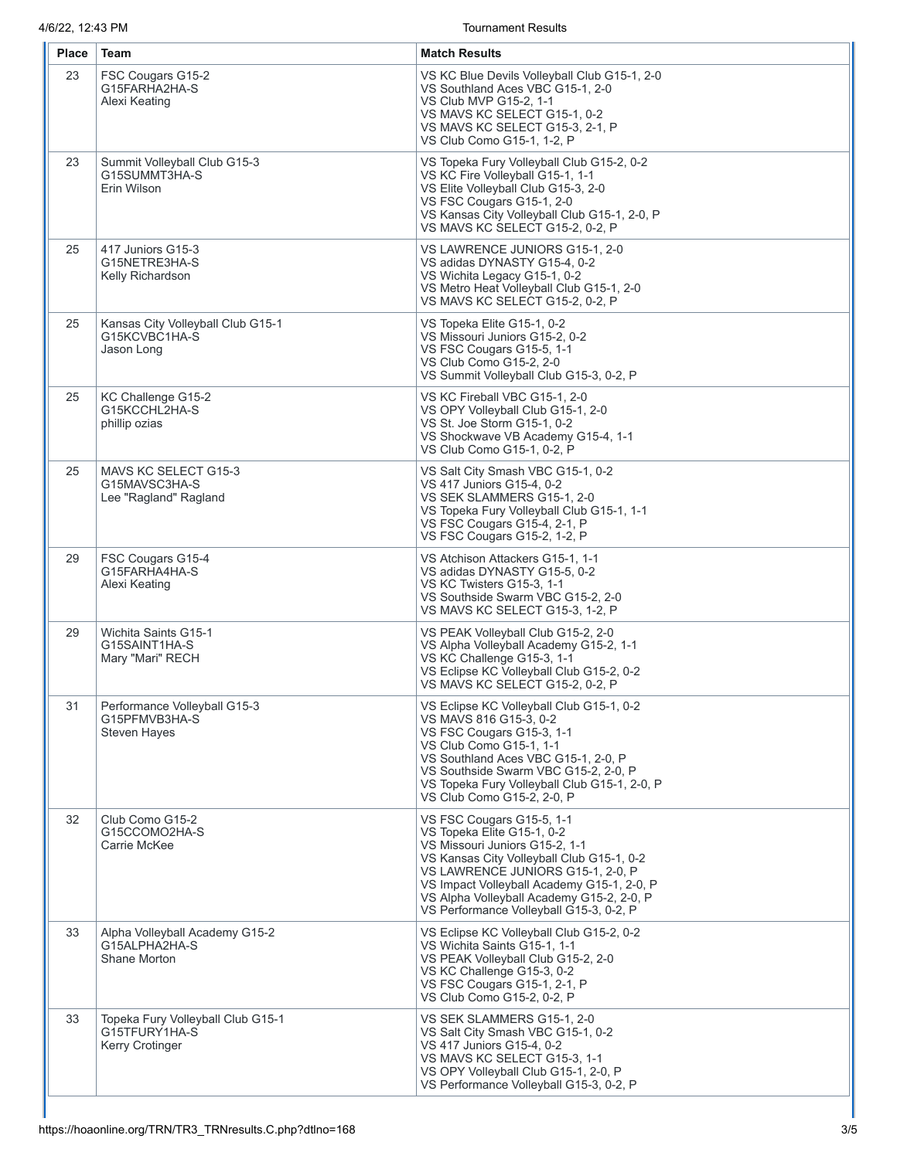4/6/22, 12:43 PM

**Tournament Results** 

| Place | Team                                                                         | <b>Match Results</b>                                                                                                                                                                                                                                                                                              |
|-------|------------------------------------------------------------------------------|-------------------------------------------------------------------------------------------------------------------------------------------------------------------------------------------------------------------------------------------------------------------------------------------------------------------|
| 23    | FSC Cougars G15-2<br>G15FARHA2HA-S<br>Alexi Keating                          | VS KC Blue Devils Volleyball Club G15-1, 2-0<br>VS Southland Aces VBC G15-1, 2-0<br>VS Club MVP G15-2, 1-1<br>VS MAVS KC SELECT G15-1, 0-2<br>VS MAVS KC SELECT G15-3, 2-1, P<br>VS Club Como G15-1, 1-2, P                                                                                                       |
| 23    | Summit Volleyball Club G15-3<br>G15SUMMT3HA-S<br>Erin Wilson                 | VS Topeka Fury Volleyball Club G15-2, 0-2<br>VS KC Fire Volleyball G15-1, 1-1<br>VS Elite Volleyball Club G15-3, 2-0<br>VS FSC Cougars G15-1, 2-0<br>VS Kansas City Volleyball Club G15-1, 2-0, P<br>VS MAVS KC SELECT G15-2, 0-2, P                                                                              |
| 25    | 417 Juniors G15-3<br>G15NETRE3HA-S<br>Kelly Richardson                       | VS LAWRENCE JUNIORS G15-1, 2-0<br>VS adidas DYNASTY G15-4, 0-2<br>VS Wichita Legacy G15-1, 0-2<br>VS Metro Heat Volleyball Club G15-1, 2-0<br>VS MAVS KC SELECT G15-2, 0-2, P                                                                                                                                     |
| 25    | Kansas City Volleyball Club G15-1<br>G15KCVBC1HA-S<br>Jason Long             | VS Topeka Elite G15-1, 0-2<br>VS Missouri Juniors G15-2, 0-2<br>VS FSC Cougars G15-5, 1-1<br>VS Club Como G15-2, 2-0<br>VS Summit Volleyball Club G15-3, 0-2, P                                                                                                                                                   |
| 25    | KC Challenge G15-2<br>G15KCCHL2HA-S<br>phillip ozias                         | VS KC Fireball VBC G15-1, 2-0<br>VS OPY Volleyball Club G15-1, 2-0<br>VS St. Joe Storm G15-1, 0-2<br>VS Shockwave VB Academy G15-4, 1-1<br>VS Club Como G15-1, 0-2, P                                                                                                                                             |
| 25    | MAVS KC SELECT G15-3<br>G15MAVSC3HA-S<br>Lee "Ragland" Ragland               | VS Salt City Smash VBC G15-1, 0-2<br>VS 417 Juniors G15-4, 0-2<br>VS SEK SLAMMERS G15-1, 2-0<br>VS Topeka Fury Volleyball Club G15-1, 1-1<br>VS FSC Cougars G15-4, 2-1, P<br>VS FSC Cougars G15-2, 1-2, P                                                                                                         |
| 29    | FSC Cougars G15-4<br>G15FARHA4HA-S<br>Alexi Keating                          | VS Atchison Attackers G15-1, 1-1<br>VS adidas DYNASTY G15-5, 0-2<br>VS KC Twisters G15-3, 1-1<br>VS Southside Swarm VBC G15-2, 2-0<br>VS MAVS KC SELECT G15-3, 1-2, P                                                                                                                                             |
| 29    | Wichita Saints G15-1<br>G15SAINT1HA-S<br>Mary "Mari" RECH                    | VS PEAK Volleyball Club G15-2, 2-0<br>VS Alpha Volleyball Academy G15-2, 1-1<br>VS KC Challenge G15-3, 1-1<br>VS Eclipse KC Volleyball Club G15-2, 0-2<br>VS MAVS KC SELECT G15-2, 0-2, P                                                                                                                         |
| 31    | Performance Volleyball G15-3<br>G15PFMVB3HA-S<br><b>Steven Hayes</b>         | VS Eclipse KC Volleyball Club G15-1, 0-2<br>VS MAVS 816 G15-3, 0-2<br>VS FSC Cougars G15-3, 1-1<br>VS Club Como G15-1, 1-1<br>VS Southland Aces VBC G15-1, 2-0, P<br>VS Southside Swarm VBC G15-2, 2-0, P<br>VS Topeka Fury Volleyball Club G15-1, 2-0, P<br>VS Club Como G15-2, 2-0, P                           |
| 32    | Club Como G15-2<br>G15CCOMO2HA-S<br>Carrie McKee                             | VS FSC Cougars G15-5, 1-1<br>VS Topeka Elite G15-1, 0-2<br>VS Missouri Juniors G15-2, 1-1<br>VS Kansas City Volleyball Club G15-1, 0-2<br>VS LAWRENCE JUNIORS G15-1, 2-0, P<br>VS Impact Volleyball Academy G15-1, 2-0, P<br>VS Alpha Volleyball Academy G15-2, 2-0, P<br>VS Performance Volleyball G15-3, 0-2, P |
| 33    | Alpha Volleyball Academy G15-2<br>G15ALPHA2HA-S<br>Shane Morton              | VS Eclipse KC Volleyball Club G15-2, 0-2<br>VS Wichita Saints G15-1, 1-1<br>VS PEAK Volleyball Club G15-2, 2-0<br>VS KC Challenge G15-3, 0-2<br>VS FSC Cougars G15-1, 2-1, P<br>VS Club Como G15-2, 0-2, P                                                                                                        |
| 33    | Topeka Fury Volleyball Club G15-1<br>G15TFURY1HA-S<br><b>Kerry Crotinger</b> | VS SEK SLAMMERS G15-1, 2-0<br>VS Salt City Smash VBC G15-1, 0-2<br>VS 417 Juniors G15-4, 0-2<br>VS MAVS KC SELECT G15-3, 1-1<br>VS OPY Volleyball Club G15-1, 2-0, P<br>VS Performance Volleyball G15-3, 0-2, P                                                                                                   |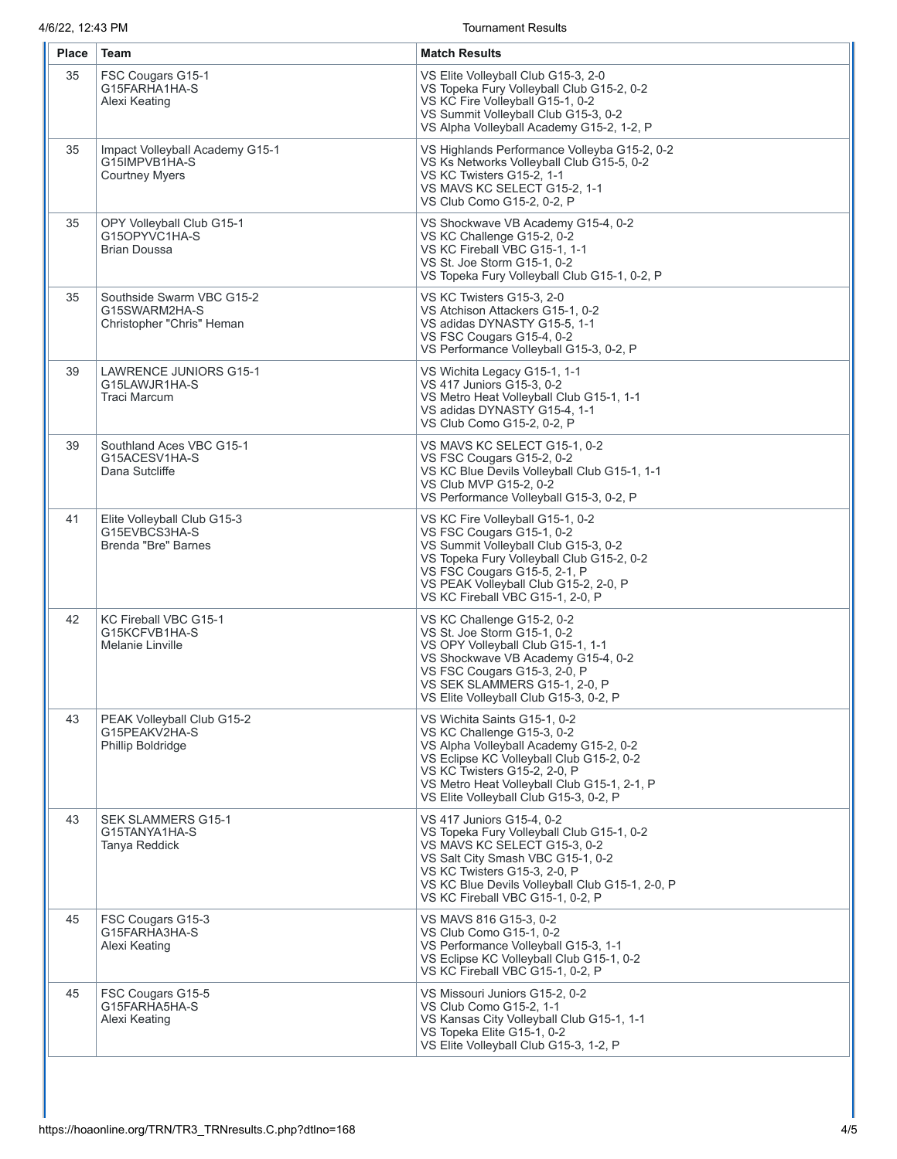4/6/22, 12:43 PM Tournament Results

| Place | Team                                                                      | <b>Match Results</b>                                                                                                                                                                                                                                                      |
|-------|---------------------------------------------------------------------------|---------------------------------------------------------------------------------------------------------------------------------------------------------------------------------------------------------------------------------------------------------------------------|
| 35    | FSC Cougars G15-1<br>G15FARHA1HA-S<br>Alexi Keating                       | VS Elite Volleyball Club G15-3, 2-0<br>VS Topeka Fury Volleyball Club G15-2, 0-2<br>VS KC Fire Volleyball G15-1, 0-2<br>VS Summit Volleyball Club G15-3, 0-2<br>VS Alpha Volleyball Academy G15-2, 1-2, P                                                                 |
| 35    | Impact Volleyball Academy G15-1<br>G15IMPVB1HA-S<br><b>Courtney Myers</b> | VS Highlands Performance Volleyba G15-2, 0-2<br>VS Ks Networks Volleyball Club G15-5, 0-2<br>VS KC Twisters G15-2, 1-1<br>VS MAVS KC SELECT G15-2, 1-1<br>VS Club Como G15-2, 0-2, P                                                                                      |
| 35    | OPY Volleyball Club G15-1<br>G15OPYVC1HA-S<br><b>Brian Doussa</b>         | VS Shockwave VB Academy G15-4, 0-2<br>VS KC Challenge G15-2, 0-2<br>VS KC Fireball VBC G15-1, 1-1<br>VS St. Joe Storm G15-1, 0-2<br>VS Topeka Fury Volleyball Club G15-1, 0-2, P                                                                                          |
| 35    | Southside Swarm VBC G15-2<br>G15SWARM2HA-S<br>Christopher "Chris" Heman   | VS KC Twisters G15-3, 2-0<br>VS Atchison Attackers G15-1, 0-2<br>VS adidas DYNASTY G15-5, 1-1<br>VS FSC Cougars G15-4, 0-2<br>VS Performance Volleyball G15-3, 0-2, P                                                                                                     |
| 39    | <b>LAWRENCE JUNIORS G15-1</b><br>G15LAWJR1HA-S<br><b>Traci Marcum</b>     | VS Wichita Legacy G15-1, 1-1<br>VS 417 Juniors G15-3, 0-2<br>VS Metro Heat Volleyball Club G15-1, 1-1<br>VS adidas DYNASTY G15-4, 1-1<br>VS Club Como G15-2, 0-2, P                                                                                                       |
| 39    | Southland Aces VBC G15-1<br>G15ACESV1HA-S<br>Dana Sutcliffe               | VS MAVS KC SELECT G15-1, 0-2<br>VS FSC Cougars G15-2, 0-2<br>VS KC Blue Devils Volleyball Club G15-1, 1-1<br>VS Club MVP G15-2, 0-2<br>VS Performance Volleyball G15-3, 0-2, P                                                                                            |
| 41    | Elite Volleyball Club G15-3<br>G15EVBCS3HA-S<br>Brenda "Bre" Barnes       | VS KC Fire Volleyball G15-1, 0-2<br>VS FSC Cougars G15-1, 0-2<br>VS Summit Volleyball Club G15-3, 0-2<br>VS Topeka Fury Volleyball Club G15-2, 0-2<br>VS FSC Cougars G15-5, 2-1, P<br>VS PEAK Volleyball Club G15-2, 2-0, P<br>VS KC Fireball VBC G15-1, 2-0, P           |
| 42    | KC Fireball VBC G15-1<br>G15KCFVB1HA-S<br>Melanie Linville                | VS KC Challenge G15-2, 0-2<br>VS St. Joe Storm G15-1, 0-2<br>VS OPY Volleyball Club G15-1, 1-1<br>VS Shockwave VB Academy G15-4, 0-2<br>VS FSC Cougars G15-3, 2-0, P<br>VS SEK SLAMMERS G15-1, 2-0, P<br>VS Elite Volleyball Club G15-3, 0-2, P                           |
| 43    | PEAK Volleyball Club G15-2<br>G15PEAKV2HA-S<br><b>Phillip Boldridge</b>   | VS Wichita Saints G15-1, 0-2<br>VS KC Challenge G15-3, 0-2<br>VS Alpha Volleyball Academy G15-2, 0-2<br>VS Eclipse KC Volleyball Club G15-2, 0-2<br>VS KC Twisters G15-2, 2-0, P<br>VS Metro Heat Volleyball Club G15-1, 2-1, P<br>VS Elite Volleyball Club G15-3, 0-2, P |
| 43    | <b>SEK SLAMMERS G15-1</b><br>G15TANYA1HA-S<br>Tanya Reddick               | VS 417 Juniors G15-4, 0-2<br>VS Topeka Fury Volleyball Club G15-1, 0-2<br>VS MAVS KC SELECT G15-3, 0-2<br>VS Salt City Smash VBC G15-1, 0-2<br>VS KC Twisters G15-3, 2-0, P<br>VS KC Blue Devils Volleyball Club G15-1, 2-0, P<br>VS KC Fireball VBC G15-1, 0-2, P        |
| 45    | FSC Cougars G15-3<br>G15FARHA3HA-S<br>Alexi Keating                       | VS MAVS 816 G15-3, 0-2<br>VS Club Como G15-1, 0-2<br>VS Performance Volleyball G15-3, 1-1<br>VS Eclipse KC Volleyball Club G15-1, 0-2<br>VS KC Fireball VBC G15-1, 0-2, P                                                                                                 |
| 45    | FSC Cougars G15-5<br>G15FARHA5HA-S<br>Alexi Keating                       | VS Missouri Juniors G15-2, 0-2<br>VS Club Como G15-2, 1-1<br>VS Kansas City Volleyball Club G15-1, 1-1<br>VS Topeka Elite G15-1, 0-2<br>VS Elite Volleyball Club G15-3, 1-2, P                                                                                            |